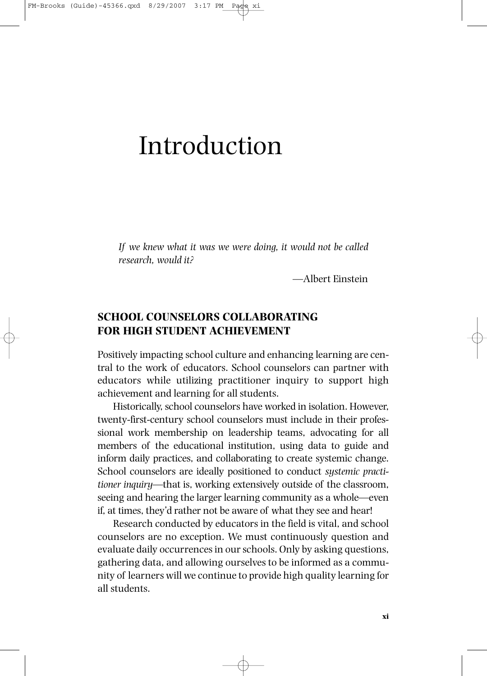# Introduction

*If we knew what it was we were doing, it would not be called research, would it?*

—Albert Einstein

## **SCHOOL COUNSELORS COLLABORATING FOR HIGH STUDENT ACHIEVEMENT**

Positively impacting school culture and enhancing learning are central to the work of educators. School counselors can partner with educators while utilizing practitioner inquiry to support high achievement and learning for all students.

Historically, school counselors have worked in isolation. However, twenty-first-century school counselors must include in their professional work membership on leadership teams, advocating for all members of the educational institution, using data to guide and inform daily practices, and collaborating to create systemic change. School counselors are ideally positioned to conduct *systemic practitioner inquiry*—that is, working extensively outside of the classroom, seeing and hearing the larger learning community as a whole—even if, at times, they'd rather not be aware of what they see and hear!

Research conducted by educators in the field is vital, and school counselors are no exception. We must continuously question and evaluate daily occurrences in our schools. Only by asking questions, gathering data, and allowing ourselves to be informed as a community of learners will we continue to provide high quality learning for all students.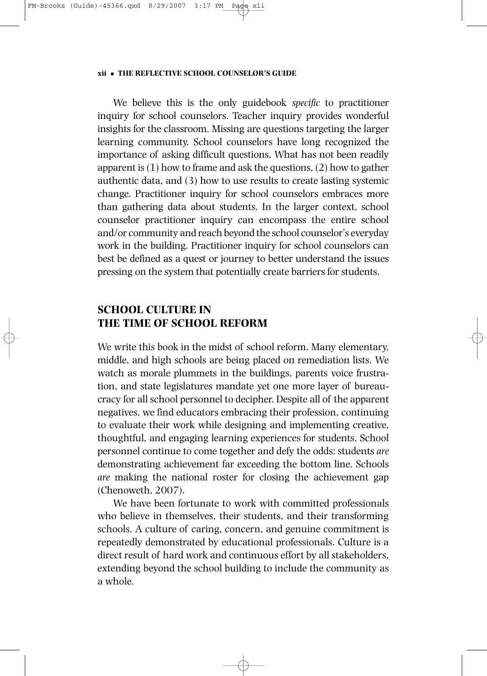#### **xii** • **THE REFLECTIVE SCHOOL COUNSELOR'S GUIDE**

We believe this is the only guidebook *specific* to practitioner inquiry for school counselors. Teacher inquiry provides wonderful insights for the classroom. Missing are questions targeting the larger learning community. School counselors have long recognized the importance of asking difficult questions. What has not been readily apparent is (1) how to frame and ask the questions, (2) how to gather authentic data, and (3) how to use results to create lasting systemic change. Practitioner inquiry for school counselors embraces more than gathering data about students. In the larger context, school counselor practitioner inquiry can encompass the entire school and/or community and reach beyond the school counselor's everyday work in the building. Practitioner inquiry for school counselors can best be defined as a quest or journey to better understand the issues pressing on the system that potentially create barriers for students.

## **SCHOOL CULTURE IN THE TIME OF SCHOOL REFORM**

We write this book in the midst of school reform. Many elementary, middle, and high schools are being placed on remediation lists. We watch as morale plummets in the buildings, parents voice frustration, and state legislatures mandate yet one more layer of bureaucracy for all school personnel to decipher. Despite all of the apparent negatives, we find educators embracing their profession, continuing to evaluate their work while designing and implementing creative, thoughtful, and engaging learning experiences for students. School personnel continue to come together and defy the odds: students *are* demonstrating achievement far exceeding the bottom line. Schools *are* making the national roster for closing the achievement gap (Chenoweth, 2007).

We have been fortunate to work with committed professionals who believe in themselves, their students, and their transforming schools. A culture of caring, concern, and genuine commitment is repeatedly demonstrated by educational professionals. Culture is a direct result of hard work and continuous effort by all stakeholders, extending beyond the school building to include the community as a whole.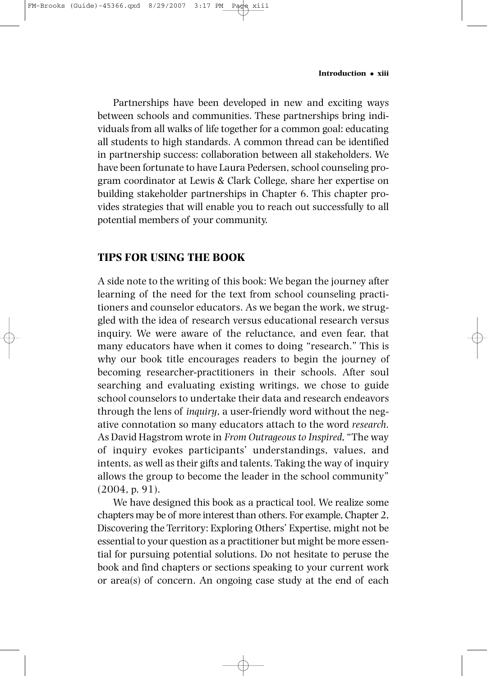Partnerships have been developed in new and exciting ways between schools and communities. These partnerships bring individuals from all walks of life together for a common goal: educating all students to high standards. A common thread can be identified in partnership success: collaboration between all stakeholders. We have been fortunate to have Laura Pedersen, school counseling program coordinator at Lewis & Clark College, share her expertise on building stakeholder partnerships in Chapter 6. This chapter provides strategies that will enable you to reach out successfully to all potential members of your community.

### **TIPS FOR USING THE BOOK**

A side note to the writing of this book: We began the journey after learning of the need for the text from school counseling practitioners and counselor educators. As we began the work, we struggled with the idea of research versus educational research versus inquiry. We were aware of the reluctance, and even fear, that many educators have when it comes to doing "research." This is why our book title encourages readers to begin the journey of becoming researcher-practitioners in their schools. After soul searching and evaluating existing writings, we chose to guide school counselors to undertake their data and research endeavors through the lens of *inquiry*, a user-friendly word without the negative connotation so many educators attach to the word *research.* As David Hagstrom wrote in *From Outrageous to Inspired*, "The way of inquiry evokes participants' understandings, values, and intents, as well as their gifts and talents. Taking the way of inquiry allows the group to become the leader in the school community" (2004, p. 91).

We have designed this book as a practical tool. We realize some chapters may be of more interest than others. For example, Chapter 2, Discovering the Territory: Exploring Others' Expertise, might not be essential to your question as a practitioner but might be more essential for pursuing potential solutions. Do not hesitate to peruse the book and find chapters or sections speaking to your current work or area(s) of concern. An ongoing case study at the end of each